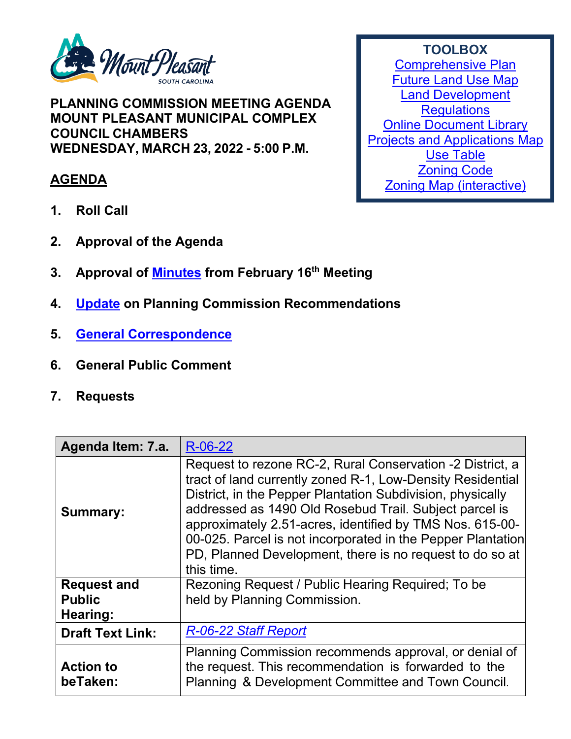

**PLANNING COMMISSION MEETING AGENDA MOUNT PLEASANT MUNICIPAL COMPLEX COUNCIL CHAMBERS WEDNESDAY, MARCH 23, 2022 - 5:00 P.M.**

## **AGENDA**

- **1. Roll Call**
- **2. Approval of the Agenda**
- **3. Approval of [Minutes](https://www.tompsc.com/DocumentCenter/View/40943/Plan-Comsn-min-16-Feb-2022_exppdf) from February 16th Meeting**
- **4. [Update](https://www.tompsc.com/DocumentCenter/View/40945/TOWN-COUNCIL-DECISIONS) on Planning Commission Recommendations**
- **5. [General Correspondence](https://www.tompsc.com/DocumentCenter/View/40941/PLACEHOLDER-DOC)**
- **6. General Public Comment**
- **7. Requests**

| Agenda Item: 7.a.                                      | R-06-22                                                                                                                                                                                                                                                                                                                                                                                                                                              |
|--------------------------------------------------------|------------------------------------------------------------------------------------------------------------------------------------------------------------------------------------------------------------------------------------------------------------------------------------------------------------------------------------------------------------------------------------------------------------------------------------------------------|
| <b>Summary:</b>                                        | Request to rezone RC-2, Rural Conservation -2 District, a<br>tract of land currently zoned R-1, Low-Density Residential<br>District, in the Pepper Plantation Subdivision, physically<br>addressed as 1490 Old Rosebud Trail. Subject parcel is<br>approximately 2.51-acres, identified by TMS Nos. 615-00-<br>00-025. Parcel is not incorporated in the Pepper Plantation<br>PD, Planned Development, there is no request to do so at<br>this time. |
| <b>Request and</b><br><b>Public</b><br><b>Hearing:</b> | Rezoning Request / Public Hearing Required; To be<br>held by Planning Commission.                                                                                                                                                                                                                                                                                                                                                                    |
| <b>Draft Text Link:</b>                                | R-06-22 Staff Report                                                                                                                                                                                                                                                                                                                                                                                                                                 |
| <b>Action to</b><br>beTaken:                           | Planning Commission recommends approval, or denial of<br>the request. This recommendation is forwarded to the<br>Planning & Development Committee and Town Council.                                                                                                                                                                                                                                                                                  |

**TOOLBOX** [Comprehensive Plan](https://www.tompsc.com/565/Comprehensive-Plan) [Future Land Use Map](https://www.tompsc.com/DocumentCenter/View/35351/Future-Land-Use) [Land Development](https://codelibrary.amlegal.com/codes/mtpleasantsc/latest/mpleasant_sc/0-0-0-119055)  **[Regulations](https://codelibrary.amlegal.com/codes/mtpleasantsc/latest/mpleasant_sc/0-0-0-119055)** [Online Document Library](http://www.tompsc.com/index.aspx?NID=388) [Projects and Applications Map](http://www.tompsc.com/index.aspx?nid=472) [Use Table](https://export.amlegal.com/media/cdf2043fcc7714d3258baf1857df78de1aeb6667/DATAOBJECTS/0-0-0-10726.pdf) [Zoning Code](https://codelibrary.amlegal.com/codes/mtpleasantsc/latest/mpleasant_sc/0-0-0-120001) [Zoning Map \(interactive\)](https://tomp.maps.arcgis.com/apps/webappviewer/index.html?id=786bb2a435e54f479b12fb2db31b473d)